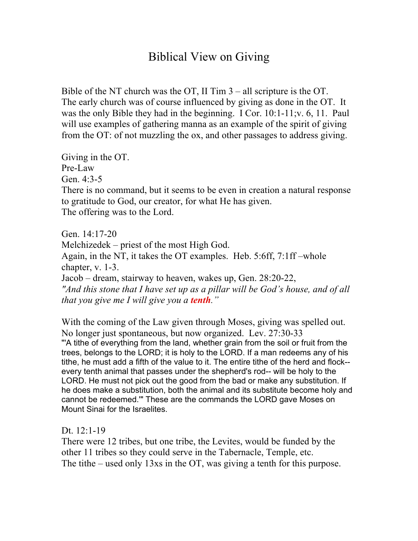## Biblical View on Giving

Bible of the NT church was the OT, II Tim 3 – all scripture is the OT. The early church was of course influenced by giving as done in the OT. It was the only Bible they had in the beginning. I Cor. 10:1-11;v. 6, 11. Paul will use examples of gathering manna as an example of the spirit of giving from the OT: of not muzzling the ox, and other passages to address giving.

Giving in the OT. Pre-Law Gen. 4:3-5 There is no command, but it seems to be even in creation a natural response to gratitude to God, our creator, for what He has given. The offering was to the Lord.

Gen. 14:17-20 Melchizedek – priest of the most High God. Again, in the NT, it takes the OT examples. Heb. 5:6ff, 7:1ff –whole chapter, v. 1-3. Jacob – dream, stairway to heaven, wakes up, Gen. 28:20-22, *"And this stone that I have set up as a pillar will be God's house, and of all that you give me I will give you a tenth."*

With the coming of the Law given through Moses, giving was spelled out. No longer just spontaneous, but now organized. Lev. 27:30-33 "'A tithe of everything from the land, whether grain from the soil or fruit from the trees, belongs to the LORD; it is holy to the LORD. If a man redeems any of his tithe, he must add a fifth of the value to it. The entire tithe of the herd and flock- every tenth animal that passes under the shepherd's rod-- will be holy to the LORD. He must not pick out the good from the bad or make any substitution. If he does make a substitution, both the animal and its substitute become holy and cannot be redeemed.'" These are the commands the LORD gave Moses on Mount Sinai for the Israelites.

Dt. 12:1-19

There were 12 tribes, but one tribe, the Levites, would be funded by the other 11 tribes so they could serve in the Tabernacle, Temple, etc. The tithe – used only 13xs in the OT, was giving a tenth for this purpose.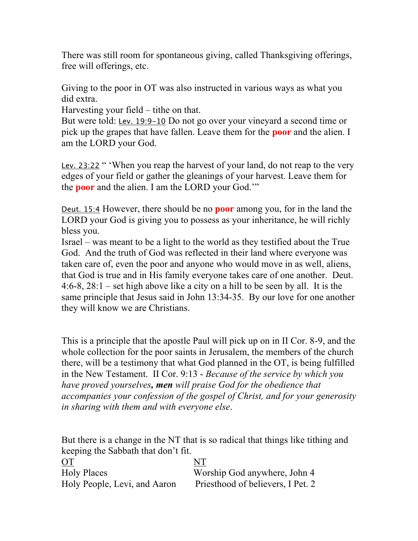There was still room for spontaneous giving, called Thanksgiving offerings, free will offerings, etc.

Giving to the poor in OT was also instructed in various ways as what you did extra.

Harvesting your field – tithe on that.

But were told: Lev. 19:9-10 Do not go over your vineyard a second time or pick up the grapes that have fallen. Leave them for the **poor** and the alien. I am the LORD your God.

Lev. 23:22 " 'When you reap the harvest of your land, do not reap to the very edges of your field or gather the gleanings of your harvest. Leave them for the **poor** and the alien. I am the LORD your God.'"

Deut. 15:4 However, there should be no **poor** among you, for in the land the LORD your God is giving you to possess as your inheritance, he will richly bless you.

Israel – was meant to be a light to the world as they testified about the True God. And the truth of God was reflected in their land where everyone was taken care of, even the poor and anyone who would move in as well, aliens, that God is true and in His family everyone takes care of one another. Deut. 4:6-8, 28:1 – set high above like a city on a hill to be seen by all. It is the same principle that Jesus said in John 13:34-35. By our love for one another they will know we are Christians.

This is a principle that the apostle Paul will pick up on in II Cor. 8-9, and the whole collection for the poor saints in Jerusalem, the members of the church there, will be a testimony that what God planned in the OT, is being fulfilled in the New Testament. II Cor. 9:13 - *Because of the service by which you have proved yourselves, men will praise God for the obedience that accompanies your confession of the gospel of Christ, and for your generosity in sharing with them and with everyone else*.

But there is a change in the NT that is so radical that things like tithing and keeping the Sabbath that don't fit.

| <b>OT</b>                    | NT                                |
|------------------------------|-----------------------------------|
| <b>Holy Places</b>           | Worship God anywhere, John 4      |
| Holy People, Levi, and Aaron | Priesthood of believers, I Pet. 2 |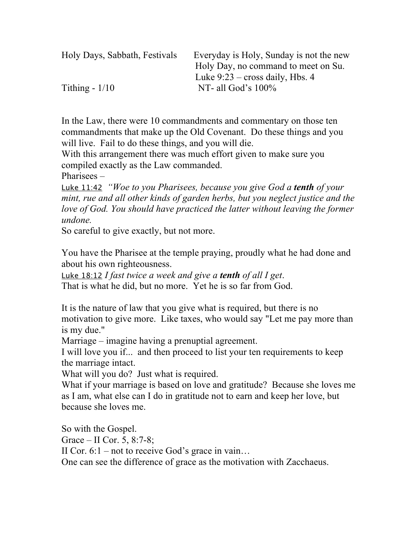| Holy Days, Sabbath, Festivals | Everyday is Holy, Sunday is not the new |
|-------------------------------|-----------------------------------------|
|                               | Holy Day, no command to meet on Su.     |
|                               | Luke $9:23$ – cross daily, Hbs. 4       |
| Tithing $-1/10$               | NT- all God's $100\%$                   |

In the Law, there were 10 commandments and commentary on those ten commandments that make up the Old Covenant. Do these things and you will live. Fail to do these things, and you will die.

With this arrangement there was much effort given to make sure you compiled exactly as the Law commanded.

Pharisees –

Luke 11:42 *"Woe to you Pharisees, because you give God a tenth of your mint, rue and all other kinds of garden herbs, but you neglect justice and the love of God. You should have practiced the latter without leaving the former undone.*

So careful to give exactly, but not more.

You have the Pharisee at the temple praying, proudly what he had done and about his own righteousness.

Luke 18:12 *I fast twice a week and give a tenth of all I get*. That is what he did, but no more. Yet he is so far from God.

It is the nature of law that you give what is required, but there is no motivation to give more. Like taxes, who would say "Let me pay more than is my due."

Marriage – imagine having a prenuptial agreement.

I will love you if... and then proceed to list your ten requirements to keep the marriage intact.

What will you do? Just what is required.

What if your marriage is based on love and gratitude? Because she loves me as I am, what else can I do in gratitude not to earn and keep her love, but because she loves me.

So with the Gospel.

Grace – II Cor. 5, 8:7-8;

II Cor.  $6:1$  – not to receive God's grace in vain...

One can see the difference of grace as the motivation with Zacchaeus.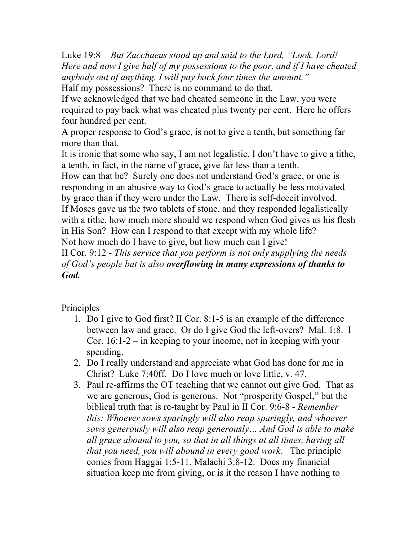Luke 19:8 *But Zacchaeus stood up and said to the Lord, "Look, Lord! Here and now I give half of my possessions to the poor, and if I have cheated anybody out of anything, I will pay back four times the amount."* Half my possessions? There is no command to do that.

If we acknowledged that we had cheated someone in the Law, you were required to pay back what was cheated plus twenty per cent. Here he offers four hundred per cent.

A proper response to God's grace, is not to give a tenth, but something far more than that.

It is ironic that some who say, I am not legalistic, I don't have to give a tithe, a tenth, in fact, in the name of grace, give far less than a tenth.

How can that be? Surely one does not understand God's grace, or one is responding in an abusive way to God's grace to actually be less motivated by grace than if they were under the Law. There is self-deceit involved. If Moses gave us the two tablets of stone, and they responded legalistically with a tithe, how much more should we respond when God gives us his flesh in His Son? How can I respond to that except with my whole life? Not how much do I have to give, but how much can I give!

II Cor. 9:12 - *This service that you perform is not only supplying the needs of God's people but is also overflowing in many expressions of thanks to God.*

## Principles

- 1. Do I give to God first? II Cor. 8:1-5 is an example of the difference between law and grace. Or do I give God the left-overs? Mal. 1:8. I Cor. 16:1-2 – in keeping to your income, not in keeping with your spending.
- 2. Do I really understand and appreciate what God has done for me in Christ? Luke 7:40ff. Do I love much or love little, v. 47.
- 3. Paul re-affirms the OT teaching that we cannot out give God. That as we are generous, God is generous. Not "prosperity Gospel," but the biblical truth that is re-taught by Paul in II Cor. 9:6-8 - *Remember this: Whoever sows sparingly will also reap sparingly, and whoever sows generously will also reap generously… And God is able to make all grace abound to you, so that in all things at all times, having all that you need, you will abound in every good work.* The principle comes from Haggai 1:5-11, Malachi 3:8-12. Does my financial situation keep me from giving, or is it the reason I have nothing to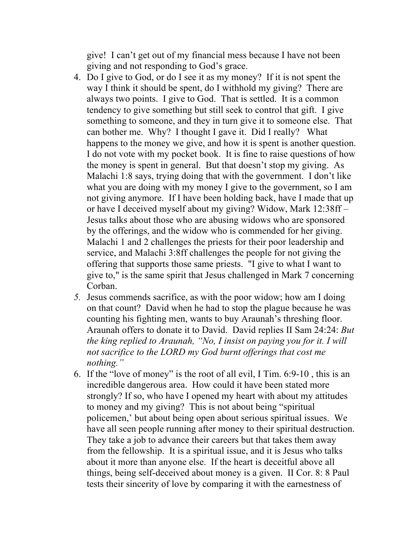give! I can't get out of my financial mess because I have not been giving and not responding to God's grace.

- 4. Do I give to God, or do I see it as my money? If it is not spent the way I think it should be spent, do I withhold my giving? There are always two points. I give to God. That is settled. It is a common tendency to give something but still seek to control that gift. I give something to someone, and they in turn give it to someone else. That can bother me. Why? I thought I gave it. Did I really? What happens to the money we give, and how it is spent is another question. I do not vote with my pocket book. It is fine to raise questions of how the money is spent in general. But that doesn't stop my giving. As Malachi 1:8 says, trying doing that with the government. I don't like what you are doing with my money I give to the government, so I am not giving anymore. If I have been holding back, have I made that up or have I deceived myself about my giving? Widow, Mark 12:38ff – Jesus talks about those who are abusing widows who are sponsored by the offerings, and the widow who is commended for her giving. Malachi 1 and 2 challenges the priests for their poor leadership and service, and Malachi 3:8ff challenges the people for not giving the offering that supports those same priests. "I give to what I want to give to," is the same spirit that Jesus challenged in Mark 7 concerning Corban.
- *5.* Jesus commends sacrifice, as with the poor widow; how am I doing on that count? David when he had to stop the plague because he was counting his fighting men, wants to buy Araunah's threshing floor. Araunah offers to donate it to David. David replies II Sam 24:24: *But the king replied to Araunah, "No, I insist on paying you for it. I will not sacrifice to the LORD my God burnt offerings that cost me nothing."*
- 6. If the "love of money" is the root of all evil, I Tim. 6:9-10 , this is an incredible dangerous area. How could it have been stated more strongly? If so, who have I opened my heart with about my attitudes to money and my giving? This is not about being "spiritual policemen,' but about being open about serious spiritual issues. We have all seen people running after money to their spiritual destruction. They take a job to advance their careers but that takes them away from the fellowship. It is a spiritual issue, and it is Jesus who talks about it more than anyone else. If the heart is deceitful above all things, being self-deceived about money is a given. II Cor. 8: 8 Paul tests their sincerity of love by comparing it with the earnestness of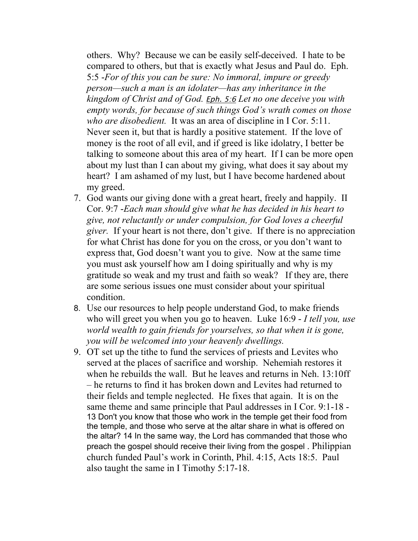others. Why? Because we can be easily self-deceived. I hate to be compared to others, but that is exactly what Jesus and Paul do. Eph. 5:5 -*For of this you can be sure: No immoral, impure or greedy person—such a man is an idolater—has any inheritance in the kingdom of Christ and of God.* Eph. 5:6 *Let no one deceive you with empty words, for because of such things God's wrath comes on those who are disobedient.* It was an area of discipline in I Cor. 5:11. Never seen it, but that is hardly a positive statement. If the love of money is the root of all evil, and if greed is like idolatry, I better be talking to someone about this area of my heart. If I can be more open about my lust than I can about my giving, what does it say about my heart? I am ashamed of my lust, but I have become hardened about my greed.

- 7. God wants our giving done with a great heart, freely and happily. II Cor. 9:7 -*Each man should give what he has decided in his heart to give, not reluctantly or under compulsion, for God loves a cheerful giver.* If your heart is not there, don't give. If there is no appreciation for what Christ has done for you on the cross, or you don't want to express that, God doesn't want you to give. Now at the same time you must ask yourself how am I doing spiritually and why is my gratitude so weak and my trust and faith so weak? If they are, there are some serious issues one must consider about your spiritual condition.
- 8. Use our resources to help people understand God, to make friends who will greet you when you go to heaven. Luke 16:9 - *I tell you, use world wealth to gain friends for yourselves, so that when it is gone, you will be welcomed into your heavenly dwellings.*
- 9. OT set up the tithe to fund the services of priests and Levites who served at the places of sacrifice and worship. Nehemiah restores it when he rebuilds the wall. But he leaves and returns in Neh. 13:10ff – he returns to find it has broken down and Levites had returned to their fields and temple neglected. He fixes that again. It is on the same theme and same principle that Paul addresses in I Cor. 9:1-18 - 13 Don't you know that those who work in the temple get their food from the temple, and those who serve at the altar share in what is offered on the altar? 14 In the same way, the Lord has commanded that those who preach the gospel should receive their living from the gospel . Philippian church funded Paul's work in Corinth, Phil. 4:15, Acts 18:5. Paul also taught the same in I Timothy 5:17-18.